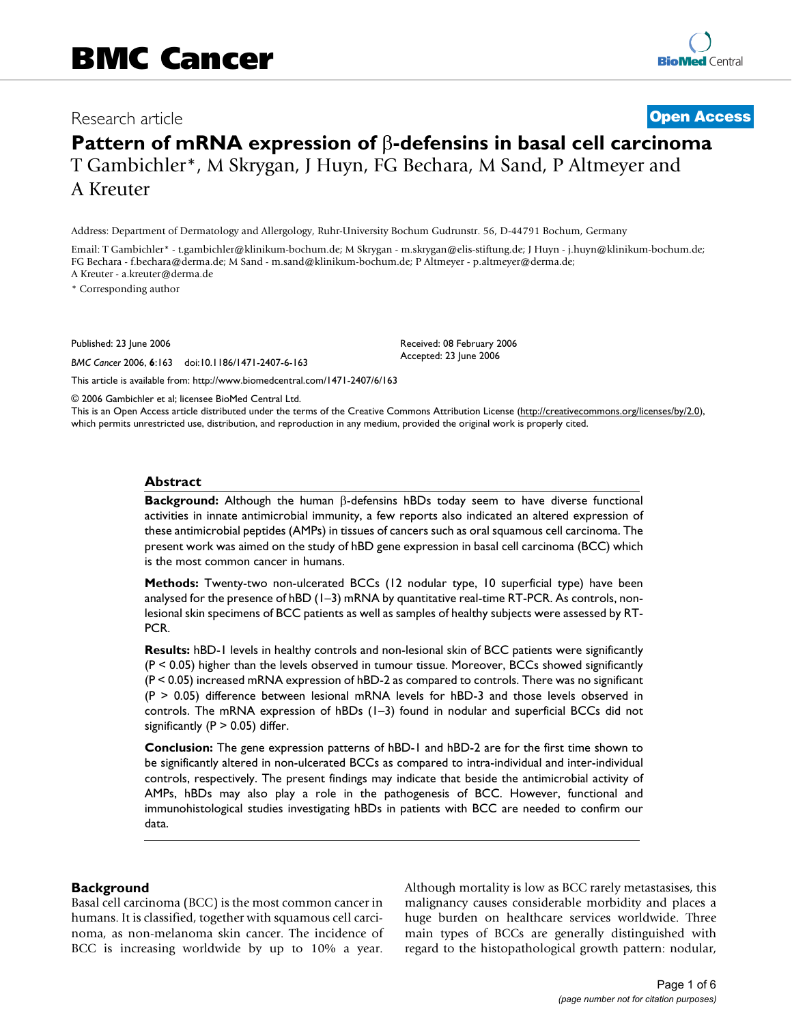# Research article **[Open Access](http://www.biomedcentral.com/info/about/charter/)**

# **Pattern of mRNA expression of** β**-defensins in basal cell carcinoma** T Gambichler\*, M Skrygan, J Huyn, FG Bechara, M Sand, P Altmeyer and A Kreuter

Address: Department of Dermatology and Allergology, Ruhr-University Bochum Gudrunstr. 56, D-44791 Bochum, Germany

Email: T Gambichler\* - t.gambichler@klinikum-bochum.de; M Skrygan - m.skrygan@elis-stiftung.de; J Huyn - j.huyn@klinikum-bochum.de; FG Bechara - f.bechara@derma.de; M Sand - m.sand@klinikum-bochum.de; P Altmeyer - p.altmeyer@derma.de; A Kreuter - a.kreuter@derma.de

\* Corresponding author

Published: 23 June 2006

*BMC Cancer* 2006, **6**:163 doi:10.1186/1471-2407-6-163

[This article is available from: http://www.biomedcentral.com/1471-2407/6/163](http://www.biomedcentral.com/1471-2407/6/163)

Received: 08 February 2006 Accepted: 23 June 2006

© 2006 Gambichler et al; licensee BioMed Central Ltd.

This is an Open Access article distributed under the terms of the Creative Commons Attribution License [\(http://creativecommons.org/licenses/by/2.0\)](http://creativecommons.org/licenses/by/2.0), which permits unrestricted use, distribution, and reproduction in any medium, provided the original work is properly cited.

#### **Abstract**

**Background:** Although the human β-defensins hBDs today seem to have diverse functional activities in innate antimicrobial immunity, a few reports also indicated an altered expression of these antimicrobial peptides (AMPs) in tissues of cancers such as oral squamous cell carcinoma. The present work was aimed on the study of hBD gene expression in basal cell carcinoma (BCC) which is the most common cancer in humans.

**Methods:** Twenty-two non-ulcerated BCCs (12 nodular type, 10 superficial type) have been analysed for the presence of hBD (1–3) mRNA by quantitative real-time RT-PCR. As controls, nonlesional skin specimens of BCC patients as well as samples of healthy subjects were assessed by RT-PCR.

**Results:** hBD-1 levels in healthy controls and non-lesional skin of BCC patients were significantly (P < 0.05) higher than the levels observed in tumour tissue. Moreover, BCCs showed significantly (P < 0.05) increased mRNA expression of hBD-2 as compared to controls. There was no significant (P > 0.05) difference between lesional mRNA levels for hBD-3 and those levels observed in controls. The mRNA expression of hBDs (1–3) found in nodular and superficial BCCs did not significantly ( $P > 0.05$ ) differ.

**Conclusion:** The gene expression patterns of hBD-1 and hBD-2 are for the first time shown to be significantly altered in non-ulcerated BCCs as compared to intra-individual and inter-individual controls, respectively. The present findings may indicate that beside the antimicrobial activity of AMPs, hBDs may also play a role in the pathogenesis of BCC. However, functional and immunohistological studies investigating hBDs in patients with BCC are needed to confirm our data.

# **Background**

Basal cell carcinoma (BCC) is the most common cancer in humans. It is classified, together with squamous cell carcinoma, as non-melanoma skin cancer. The incidence of BCC is increasing worldwide by up to 10% a year. Although mortality is low as BCC rarely metastasises, this malignancy causes considerable morbidity and places a huge burden on healthcare services worldwide. Three main types of BCCs are generally distinguished with regard to the histopathological growth pattern: nodular,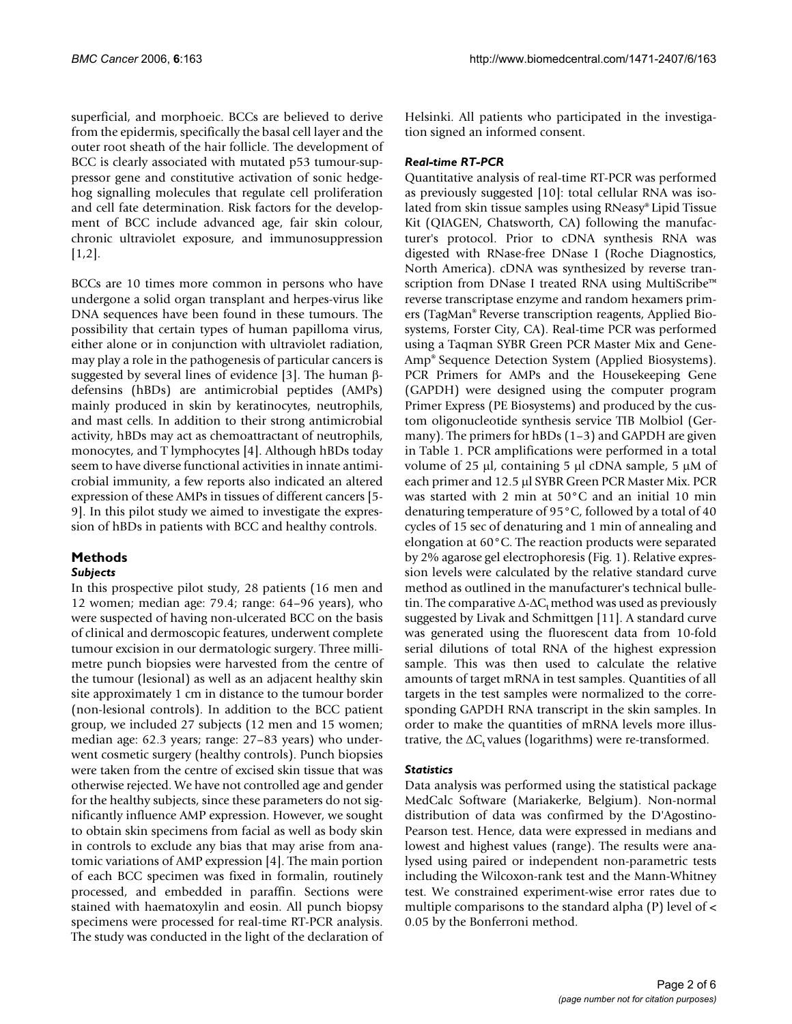superficial, and morphoeic. BCCs are believed to derive from the epidermis, specifically the basal cell layer and the outer root sheath of the hair follicle. The development of BCC is clearly associated with mutated p53 tumour-suppressor gene and constitutive activation of sonic hedgehog signalling molecules that regulate cell proliferation and cell fate determination. Risk factors for the development of BCC include advanced age, fair skin colour, chronic ultraviolet exposure, and immunosuppression [1,2].

BCCs are 10 times more common in persons who have undergone a solid organ transplant and herpes-virus like DNA sequences have been found in these tumours. The possibility that certain types of human papilloma virus, either alone or in conjunction with ultraviolet radiation, may play a role in the pathogenesis of particular cancers is suggested by several lines of evidence [3]. The human βdefensins (hBDs) are antimicrobial peptides (AMPs) mainly produced in skin by keratinocytes, neutrophils, and mast cells. In addition to their strong antimicrobial activity, hBDs may act as chemoattractant of neutrophils, monocytes, and T lymphocytes [4]. Although hBDs today seem to have diverse functional activities in innate antimicrobial immunity, a few reports also indicated an altered expression of these AMPs in tissues of different cancers [5- 9]. In this pilot study we aimed to investigate the expression of hBDs in patients with BCC and healthy controls.

# **Methods**

# *Subjects*

In this prospective pilot study, 28 patients (16 men and 12 women; median age: 79.4; range: 64–96 years), who were suspected of having non-ulcerated BCC on the basis of clinical and dermoscopic features, underwent complete tumour excision in our dermatologic surgery. Three millimetre punch biopsies were harvested from the centre of the tumour (lesional) as well as an adjacent healthy skin site approximately 1 cm in distance to the tumour border (non-lesional controls). In addition to the BCC patient group, we included 27 subjects (12 men and 15 women; median age: 62.3 years; range: 27–83 years) who underwent cosmetic surgery (healthy controls). Punch biopsies were taken from the centre of excised skin tissue that was otherwise rejected. We have not controlled age and gender for the healthy subjects, since these parameters do not significantly influence AMP expression. However, we sought to obtain skin specimens from facial as well as body skin in controls to exclude any bias that may arise from anatomic variations of AMP expression [4]. The main portion of each BCC specimen was fixed in formalin, routinely processed, and embedded in paraffin. Sections were stained with haematoxylin and eosin. All punch biopsy specimens were processed for real-time RT-PCR analysis. The study was conducted in the light of the declaration of Helsinki. All patients who participated in the investigation signed an informed consent.

### *Real-time RT-PCR*

Quantitative analysis of real-time RT-PCR was performed as previously suggested [10]: total cellular RNA was isolated from skin tissue samples using RNeasy® Lipid Tissue Kit (QIAGEN, Chatsworth, CA) following the manufacturer's protocol. Prior to cDNA synthesis RNA was digested with RNase-free DNase I (Roche Diagnostics, North America). cDNA was synthesized by reverse transcription from DNase I treated RNA using MultiScribe™ reverse transcriptase enzyme and random hexamers primers (TagMan® Reverse transcription reagents, Applied Biosystems, Forster City, CA). Real-time PCR was performed using a Taqman SYBR Green PCR Master Mix and Gene-Amp® Sequence Detection System (Applied Biosystems). PCR Primers for AMPs and the Housekeeping Gene (GAPDH) were designed using the computer program Primer Express (PE Biosystems) and produced by the custom oligonucleotide synthesis service TIB Molbiol (Germany). The primers for hBDs (1–3) and GAPDH are given in Table 1. PCR amplifications were performed in a total volume of 25  $\mu$ l, containing 5  $\mu$ l cDNA sample, 5  $\mu$ M of each primer and 12.5 µl SYBR Green PCR Master Mix. PCR was started with 2 min at 50°C and an initial 10 min denaturing temperature of 95°C, followed by a total of 40 cycles of 15 sec of denaturing and 1 min of annealing and elongation at 60°C. The reaction products were separated by 2% agarose gel electrophoresis (Fig. 1). Relative expression levels were calculated by the relative standard curve method as outlined in the manufacturer's technical bulletin. The comparative  $\Delta$ - $\Delta C_t$  method was used as previously suggested by Livak and Schmittgen [11]. A standard curve was generated using the fluorescent data from 10-fold serial dilutions of total RNA of the highest expression sample. This was then used to calculate the relative amounts of target mRNA in test samples. Quantities of all targets in the test samples were normalized to the corresponding GAPDH RNA transcript in the skin samples. In order to make the quantities of mRNA levels more illustrative, the  $\Delta C_t$  values (logarithms) were re-transformed.

# *Statistics*

Data analysis was performed using the statistical package MedCalc Software (Mariakerke, Belgium). Non-normal distribution of data was confirmed by the D'Agostino-Pearson test. Hence, data were expressed in medians and lowest and highest values (range). The results were analysed using paired or independent non-parametric tests including the Wilcoxon-rank test and the Mann-Whitney test. We constrained experiment-wise error rates due to multiple comparisons to the standard alpha (P) level of < 0.05 by the Bonferroni method.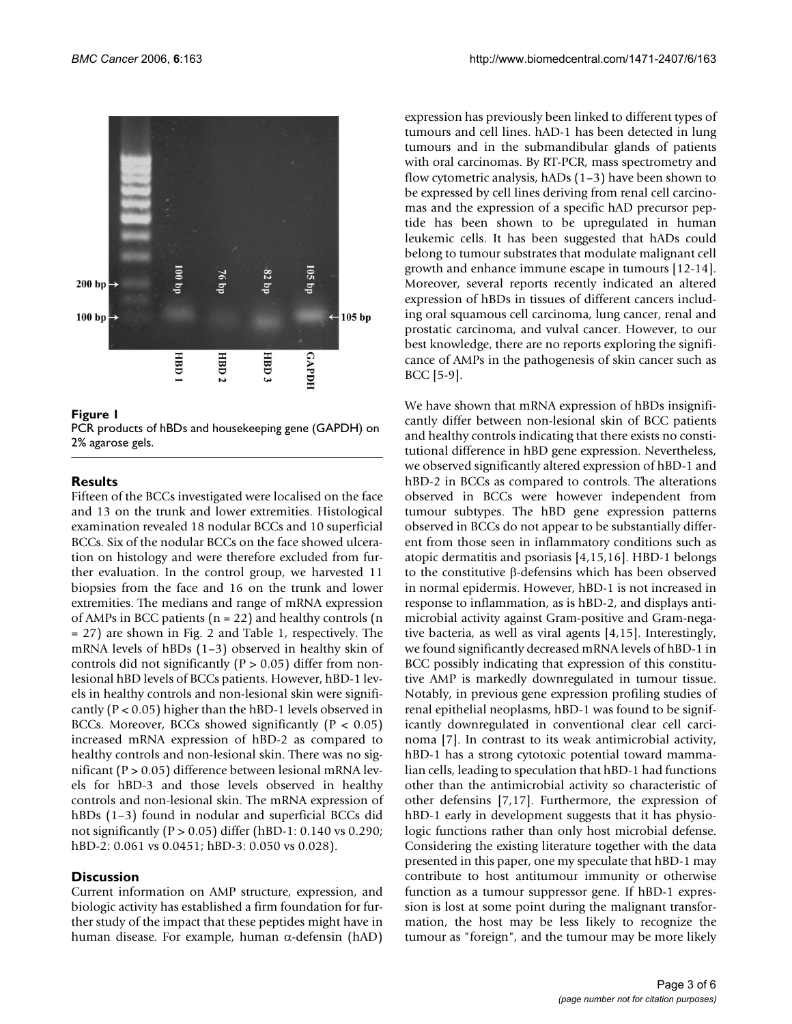

**Figure 1** 

PCR products of hBDs and housekeeping gene (GAPDH) on 2% agarose gels.

#### **Results**

Fifteen of the BCCs investigated were localised on the face and 13 on the trunk and lower extremities. Histological examination revealed 18 nodular BCCs and 10 superficial BCCs. Six of the nodular BCCs on the face showed ulceration on histology and were therefore excluded from further evaluation. In the control group, we harvested 11 biopsies from the face and 16 on the trunk and lower extremities. The medians and range of mRNA expression of AMPs in BCC patients ( $n = 22$ ) and healthy controls ( $n = 12$ ) = 27) are shown in Fig. 2 and Table 1, respectively. The mRNA levels of hBDs (1–3) observed in healthy skin of controls did not significantly ( $P > 0.05$ ) differ from nonlesional hBD levels of BCCs patients. However, hBD-1 levels in healthy controls and non-lesional skin were significantly (P < 0.05) higher than the hBD-1 levels observed in BCCs. Moreover, BCCs showed significantly ( $P < 0.05$ ) increased mRNA expression of hBD-2 as compared to healthy controls and non-lesional skin. There was no significant (P > 0.05) difference between lesional mRNA levels for hBD-3 and those levels observed in healthy controls and non-lesional skin. The mRNA expression of hBDs (1–3) found in nodular and superficial BCCs did not significantly (P > 0.05) differ (hBD-1: 0.140 vs 0.290; hBD-2: 0.061 vs 0.0451; hBD-3: 0.050 vs 0.028).

#### **Discussion**

Current information on AMP structure, expression, and biologic activity has established a firm foundation for further study of the impact that these peptides might have in human disease. For example, human α-defensin (hAD)

expression has previously been linked to different types of tumours and cell lines. hAD-1 has been detected in lung tumours and in the submandibular glands of patients with oral carcinomas. By RT-PCR, mass spectrometry and flow cytometric analysis, hADs (1–3) have been shown to be expressed by cell lines deriving from renal cell carcinomas and the expression of a specific hAD precursor peptide has been shown to be upregulated in human leukemic cells. It has been suggested that hADs could belong to tumour substrates that modulate malignant cell growth and enhance immune escape in tumours [12-14]. Moreover, several reports recently indicated an altered expression of hBDs in tissues of different cancers including oral squamous cell carcinoma, lung cancer, renal and prostatic carcinoma, and vulval cancer. However, to our best knowledge, there are no reports exploring the significance of AMPs in the pathogenesis of skin cancer such as BCC [5-9].

We have shown that mRNA expression of hBDs insignificantly differ between non-lesional skin of BCC patients and healthy controls indicating that there exists no constitutional difference in hBD gene expression. Nevertheless, we observed significantly altered expression of hBD-1 and hBD-2 in BCCs as compared to controls. The alterations observed in BCCs were however independent from tumour subtypes. The hBD gene expression patterns observed in BCCs do not appear to be substantially different from those seen in inflammatory conditions such as atopic dermatitis and psoriasis [4,15,16]. HBD-1 belongs to the constitutive β-defensins which has been observed in normal epidermis. However, hBD-1 is not increased in response to inflammation, as is hBD-2, and displays antimicrobial activity against Gram-positive and Gram-negative bacteria, as well as viral agents [4,15]. Interestingly, we found significantly decreased mRNA levels of hBD-1 in BCC possibly indicating that expression of this constitutive AMP is markedly downregulated in tumour tissue. Notably, in previous gene expression profiling studies of renal epithelial neoplasms, hBD-1 was found to be significantly downregulated in conventional clear cell carcinoma [7]. In contrast to its weak antimicrobial activity, hBD-1 has a strong cytotoxic potential toward mammalian cells, leading to speculation that hBD-1 had functions other than the antimicrobial activity so characteristic of other defensins [7,17]. Furthermore, the expression of hBD-1 early in development suggests that it has physiologic functions rather than only host microbial defense. Considering the existing literature together with the data presented in this paper, one my speculate that hBD-1 may contribute to host antitumour immunity or otherwise function as a tumour suppressor gene. If hBD-1 expression is lost at some point during the malignant transformation, the host may be less likely to recognize the tumour as "foreign", and the tumour may be more likely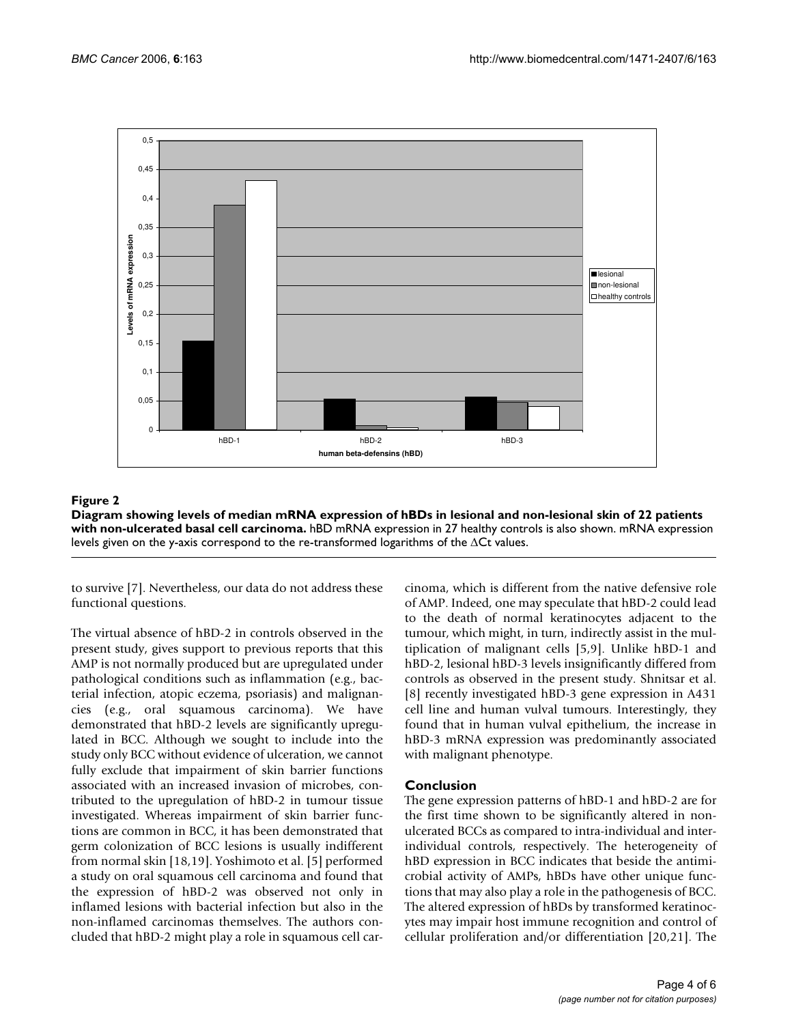

Diagram showing levels of median mRNA e ated basal cell carcinoma. **Figure 2** xpression of hBDs in lesional and non-lesional skin of 22 patients with non-ulcer-**Diagram showing levels of median mRNA expression of hBDs in lesional and non-lesional skin of 22 patients with non-ulcerated basal cell carcinoma.** hBD mRNA expression in 27 healthy controls is also shown. mRNA expression levels given on the y-axis correspond to the re-transformed logarithms of the ∆Ct values.

to survive [7]. Nevertheless, our data do not address these functional questions.

The virtual absence of hBD-2 in controls observed in the present study, gives support to previous reports that this AMP is not normally produced but are upregulated under pathological conditions such as inflammation (e.g., bacterial infection, atopic eczema, psoriasis) and malignancies (e.g., oral squamous carcinoma). We have demonstrated that hBD-2 levels are significantly upregulated in BCC. Although we sought to include into the study only BCC without evidence of ulceration, we cannot fully exclude that impairment of skin barrier functions associated with an increased invasion of microbes, contributed to the upregulation of hBD-2 in tumour tissue investigated. Whereas impairment of skin barrier functions are common in BCC, it has been demonstrated that germ colonization of BCC lesions is usually indifferent from normal skin [18,19]. Yoshimoto et al. [5] performed a study on oral squamous cell carcinoma and found that the expression of hBD-2 was observed not only in inflamed lesions with bacterial infection but also in the non-inflamed carcinomas themselves. The authors concluded that hBD-2 might play a role in squamous cell carcinoma, which is different from the native defensive role of AMP. Indeed, one may speculate that hBD-2 could lead to the death of normal keratinocytes adjacent to the tumour, which might, in turn, indirectly assist in the multiplication of malignant cells [5,9]. Unlike hBD-1 and hBD-2, lesional hBD-3 levels insignificantly differed from controls as observed in the present study. Shnitsar et al. [8] recently investigated hBD-3 gene expression in A431 cell line and human vulval tumours. Interestingly, they found that in human vulval epithelium, the increase in hBD-3 mRNA expression was predominantly associated with malignant phenotype.

# **Conclusion**

The gene expression patterns of hBD-1 and hBD-2 are for the first time shown to be significantly altered in nonulcerated BCCs as compared to intra-individual and interindividual controls, respectively. The heterogeneity of hBD expression in BCC indicates that beside the antimicrobial activity of AMPs, hBDs have other unique functions that may also play a role in the pathogenesis of BCC. The altered expression of hBDs by transformed keratinocytes may impair host immune recognition and control of cellular proliferation and/or differentiation [20,21]. The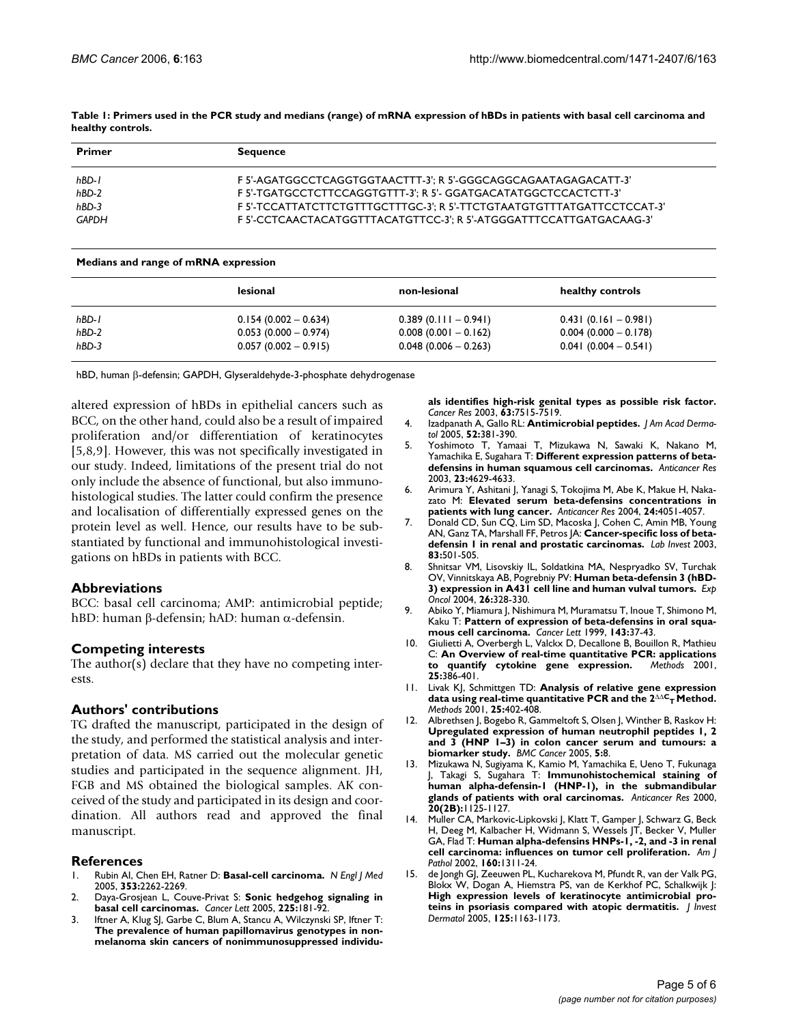| <b>Primer</b> | <b>Sequence</b>                                                        |  |  |
|---------------|------------------------------------------------------------------------|--|--|
| hBD-1         | F 5'-AGATGGCCTCAGGTGGTAACTTT-3': R 5'-GGGCAGGCAGAATAGAGACATT-3'        |  |  |
| hBD-2         | F 5'-TGATGCCTCTTCCAGGTGTTT-3': R 5'- GGATGACATATGGCTCCACTCTT-3'        |  |  |
| $hBD-3$       | F 5'-TCCATTATCTTCTGTTTGCTTTGC-3': R 5'-TTCTGTAATGTGTTTATGATTCCTCCAT-3' |  |  |
| <b>GAPDH</b>  | F 5'-CCTCAACTACATGGTTTACATGTTCC-3': R 5'-ATGGGATTTCCATTGATGACAAG-3'    |  |  |

**Table 1: Primers used in the PCR study and medians (range) of mRNA expression of hBDs in patients with basal cell carcinoma and healthy controls.**

#### **Medians and range of mRNA expression**

|         | lesional               | non-lesional           | healthy controls        |
|---------|------------------------|------------------------|-------------------------|
| hBD-1   | $0.154(0.002 - 0.634)$ | $0.389(0.111-0.941)$   | $0.431(0.161 - 0.981)$  |
| hBD-2   | $0.053(0.000 - 0.974)$ | $0.008(0.001 - 0.162)$ | $0.004$ (0.000 - 0.178) |
| $hBD-3$ | $0.057(0.002 - 0.915)$ | $0.048(0.006 - 0.263)$ | $0.041(0.004 - 0.541)$  |

hBD, human β-defensin; GAPDH, Glyseraldehyde-3-phosphate dehydrogenase

altered expression of hBDs in epithelial cancers such as BCC, on the other hand, could also be a result of impaired proliferation and/or differentiation of keratinocytes [5,8,9]. However, this was not specifically investigated in our study. Indeed, limitations of the present trial do not only include the absence of functional, but also immunohistological studies. The latter could confirm the presence and localisation of differentially expressed genes on the protein level as well. Hence, our results have to be substantiated by functional and immunohistological investigations on hBDs in patients with BCC.

#### **Abbreviations**

BCC: basal cell carcinoma; AMP: antimicrobial peptide; hBD: human β-defensin; hAD: human α-defensin.

#### **Competing interests**

The author(s) declare that they have no competing interests.

#### **Authors' contributions**

TG drafted the manuscript, participated in the design of the study, and performed the statistical analysis and interpretation of data. MS carried out the molecular genetic studies and participated in the sequence alignment. JH, FGB and MS obtained the biological samples. AK conceived of the study and participated in its design and coordination. All authors read and approved the final manuscript.

#### **References**

- 1. Rubin AI, Chen EH, Ratner D: **[Basal-cell carcinoma.](http://www.ncbi.nlm.nih.gov/entrez/query.fcgi?cmd=Retrieve&db=PubMed&dopt=Abstract&list_uids=16306523)** *N Engl J Med* 2005, **353:**2262-2269.
- 2. Daya-Grosjean L, Couve-Privat S: **[Sonic hedgehog signaling in](http://www.ncbi.nlm.nih.gov/entrez/query.fcgi?cmd=Retrieve&db=PubMed&dopt=Abstract&list_uids=15978322) [basal cell carcinomas.](http://www.ncbi.nlm.nih.gov/entrez/query.fcgi?cmd=Retrieve&db=PubMed&dopt=Abstract&list_uids=15978322)** *Cancer Lett* 2005, **225:**181-92.
- 3. Iftner A, Klug SJ, Garbe C, Blum A, Stancu A, Wilczynski SP, Iftner T: **The prevalence of human papillomavirus genotypes in non[melanoma skin cancers of nonimmunosuppressed individu-](http://www.ncbi.nlm.nih.gov/entrez/query.fcgi?cmd=Retrieve&db=PubMed&dopt=Abstract&list_uids=14612553)**

**[als identifies high-risk genital types as possible risk factor.](http://www.ncbi.nlm.nih.gov/entrez/query.fcgi?cmd=Retrieve&db=PubMed&dopt=Abstract&list_uids=14612553)** *Cancer Res* 2003, **63:**7515-7519.

- 4. Izadpanath A, Gallo RL: **[Antimicrobial peptides.](http://www.ncbi.nlm.nih.gov/entrez/query.fcgi?cmd=Retrieve&db=PubMed&dopt=Abstract&list_uids=15761415)** *J Am Acad Dermatol* 2005, **52:**381-390.
- 5. Yoshimoto T, Yamaai T, Mizukawa N, Sawaki K, Nakano M, Yamachika E, Sugahara T: **[Different expression patterns of beta](http://www.ncbi.nlm.nih.gov/entrez/query.fcgi?cmd=Retrieve&db=PubMed&dopt=Abstract&list_uids=14981906)[defensins in human squamous cell carcinomas.](http://www.ncbi.nlm.nih.gov/entrez/query.fcgi?cmd=Retrieve&db=PubMed&dopt=Abstract&list_uids=14981906)** *Anticancer Res* 2003, **23:**4629-4633.
- 6. Arimura Y, Ashitani J, Yanagi S, Tokojima M, Abe K, Makue H, Nakazato M: **[Elevated serum beta-defensins concentrations in](http://www.ncbi.nlm.nih.gov/entrez/query.fcgi?cmd=Retrieve&db=PubMed&dopt=Abstract&list_uids=15736451) [patients with lung cancer.](http://www.ncbi.nlm.nih.gov/entrez/query.fcgi?cmd=Retrieve&db=PubMed&dopt=Abstract&list_uids=15736451)** *Anticancer Res* 2004, **24:**4051-4057.
- 7. Donald CD, Sun CQ, Lim SD, Macoska J, Cohen C, Amin MB, Young AN, Ganz TA, Marshall FF, Petros JA: **[Cancer-specific loss of beta](http://www.ncbi.nlm.nih.gov/entrez/query.fcgi?cmd=Retrieve&db=PubMed&dopt=Abstract&list_uids=12695553)[defensin 1 in renal and prostatic carcinomas.](http://www.ncbi.nlm.nih.gov/entrez/query.fcgi?cmd=Retrieve&db=PubMed&dopt=Abstract&list_uids=12695553)** *Lab Invest* 2003, **83:**501-505.
- 8. Shnitsar VM, Lisovskiy IL, Soldatkina MA, Nespryadko SV, Turchak OV, Vinnitskaya AB, Pogrebniy PV: **[Human beta-defensin 3 \(hBD-](http://www.ncbi.nlm.nih.gov/entrez/query.fcgi?cmd=Retrieve&db=PubMed&dopt=Abstract&list_uids=15627069)[3\) expression in A431 cell line and human vulval tumors.](http://www.ncbi.nlm.nih.gov/entrez/query.fcgi?cmd=Retrieve&db=PubMed&dopt=Abstract&list_uids=15627069)** *Exp Oncol* 2004, **26:**328-330.
- 9. Abiko Y, Miamura J, Nishimura M, Muramatsu T, Inoue T, Shimono M, Kaku T: **[Pattern of expression of beta-defensins in oral squa](http://www.ncbi.nlm.nih.gov/entrez/query.fcgi?cmd=Retrieve&db=PubMed&dopt=Abstract&list_uids=10465335)[mous cell carcinoma.](http://www.ncbi.nlm.nih.gov/entrez/query.fcgi?cmd=Retrieve&db=PubMed&dopt=Abstract&list_uids=10465335)** *Cancer Lett* 1999, **143:**37-43.
- 10. Giulietti A, Overbergh L, Valckx D, Decallone B, Bouillon R, Mathieu C: **[An Overview of real-time quantitative PCR: applications](http://www.ncbi.nlm.nih.gov/entrez/query.fcgi?cmd=Retrieve&db=PubMed&dopt=Abstract&list_uids=11846608)** [to quantify cytokine gene expression.](http://www.ncbi.nlm.nih.gov/entrez/query.fcgi?cmd=Retrieve&db=PubMed&dopt=Abstract&list_uids=11846608) **25:**386-401.
- 11. Livak KJ, Schmittgen TD: **Analysis of relative gene expression data using real-time quantitative PCR and the 2**∆∆**CT [Method.](http://www.ncbi.nlm.nih.gov/entrez/query.fcgi?cmd=Retrieve&db=PubMed&dopt=Abstract&list_uids=11846609)** *Methods* 2001, **25:**402-408.
- 12. Albrethsen J, Bogebo R, Gammeltoft S, Olsen J, Winther B, Raskov H: **Upregulated expression of human neutrophil peptides 1, 2 [and 3 \(HNP 1–3\) in colon cancer serum and tumours: a](http://www.ncbi.nlm.nih.gov/entrez/query.fcgi?cmd=Retrieve&db=PubMed&dopt=Abstract&list_uids=15656915) [biomarker study.](http://www.ncbi.nlm.nih.gov/entrez/query.fcgi?cmd=Retrieve&db=PubMed&dopt=Abstract&list_uids=15656915)** *BMC Cancer* 2005, **5:**8.
- 13. Mizukawa N, Sugiyama K, Kamio M, Yamachika E, Ueno T, Fukunaga J, Takagi S, Sugahara T: **[Immunohistochemical staining of](http://www.ncbi.nlm.nih.gov/entrez/query.fcgi?cmd=Retrieve&db=PubMed&dopt=Abstract&list_uids=10810407) [human alpha-defensin-1 \(HNP-1\), in the submandibular](http://www.ncbi.nlm.nih.gov/entrez/query.fcgi?cmd=Retrieve&db=PubMed&dopt=Abstract&list_uids=10810407) [glands of patients with oral carcinomas.](http://www.ncbi.nlm.nih.gov/entrez/query.fcgi?cmd=Retrieve&db=PubMed&dopt=Abstract&list_uids=10810407)** *Anticancer Res* 2000, **20(2B):**1125-1127.
- 14. Muller CA, Markovic-Lipkovski J, Klatt T, Gamper J, Schwarz G, Beck H, Deeg M, Kalbacher H, Widmann S, Wessels JT, Becker V, Muller GA, Flad T: **[Human alpha-defensins HNPs-1, -2, and -3 in renal](http://www.ncbi.nlm.nih.gov/entrez/query.fcgi?cmd=Retrieve&db=PubMed&dopt=Abstract&list_uids=11943716) [cell carcinoma: influences on tumor cell proliferation.](http://www.ncbi.nlm.nih.gov/entrez/query.fcgi?cmd=Retrieve&db=PubMed&dopt=Abstract&list_uids=11943716)** *Am J Pathol* 2002, **160:**1311-24.
- 15. de Jongh GJ, Zeeuwen PL, Kucharekova M, Pfundt R, van der Valk PG, Blokx W, Dogan A, Hiemstra PS, van de Kerkhof PC, Schalkwijk J: **[High expression levels of keratinocyte antimicrobial pro](http://www.ncbi.nlm.nih.gov/entrez/query.fcgi?cmd=Retrieve&db=PubMed&dopt=Abstract&list_uids=16354186)[teins in psoriasis compared with atopic dermatitis.](http://www.ncbi.nlm.nih.gov/entrez/query.fcgi?cmd=Retrieve&db=PubMed&dopt=Abstract&list_uids=16354186)** *J Invest Dermatol* 2005, **125:**1163-1173.